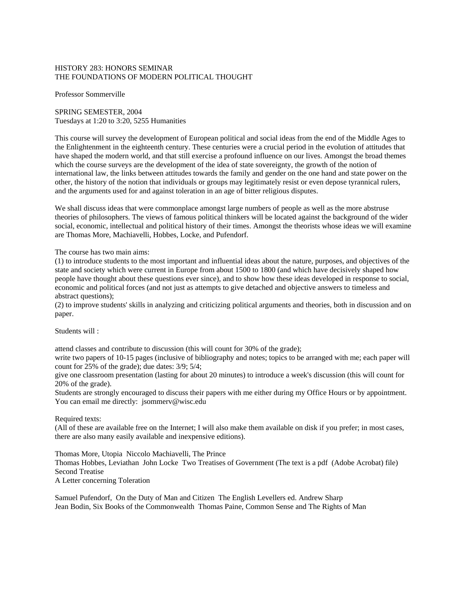## HISTORY 283: HONORS SEMINAR THE FOUNDATIONS OF MODERN POLITICAL THOUGHT

Professor Sommerville

SPRING SEMESTER, 2004 Tuesdays at 1:20 to 3:20, 5255 Humanities

This course will survey the development of European political and social ideas from the end of the Middle Ages to the Enlightenment in the eighteenth century. These centuries were a crucial period in the evolution of attitudes that have shaped the modern world, and that still exercise a profound influence on our lives. Amongst the broad themes which the course surveys are the development of the idea of state sovereignty, the growth of the notion of international law, the links between attitudes towards the family and gender on the one hand and state power on the other, the history of the notion that individuals or groups may legitimately resist or even depose tyrannical rulers, and the arguments used for and against toleration in an age of bitter religious disputes.

We shall discuss ideas that were commonplace amongst large numbers of people as well as the more abstruse theories of philosophers. The views of famous political thinkers will be located against the background of the wider social, economic, intellectual and political history of their times. Amongst the theorists whose ideas we will examine are Thomas More, Machiavelli, Hobbes, Locke, and Pufendorf.

The course has two main aims:

(1) to introduce students to the most important and influential ideas about the nature, purposes, and objectives of the state and society which were current in Europe from about 1500 to 1800 (and which have decisively shaped how people have thought about these questions ever since), and to show how these ideas developed in response to social, economic and political forces (and not just as attempts to give detached and objective answers to timeless and abstract questions);

(2) to improve students' skills in analyzing and criticizing political arguments and theories, both in discussion and on paper.

Students will :

attend classes and contribute to discussion (this will count for 30% of the grade);

write two papers of 10-15 pages (inclusive of bibliography and notes; topics to be arranged with me; each paper will count for 25% of the grade); due dates: 3/9; 5/4;

give one classroom presentation (lasting for about 20 minutes) to introduce a week's discussion (this will count for 20% of the grade).

Students are strongly encouraged to discuss their papers with me either during my Office Hours or by appointment. You can email me directly: jsommery@wisc.edu

Required texts:

(All of these are available free on the Internet; I will also make them available on disk if you prefer; in most cases, there are also many easily available and inexpensive editions).

Thomas More, Utopia Niccolo Machiavelli, The Prince

Thomas Hobbes, Leviathan John Locke Two Treatises of Government (The text is a pdf (Adobe Acrobat) file) Second Treatise

A Letter concerning Toleration

Samuel Pufendorf, On the Duty of Man and Citizen The English Levellers ed. Andrew Sharp Jean Bodin, Six Books of the Commonwealth Thomas Paine, Common Sense and The Rights of Man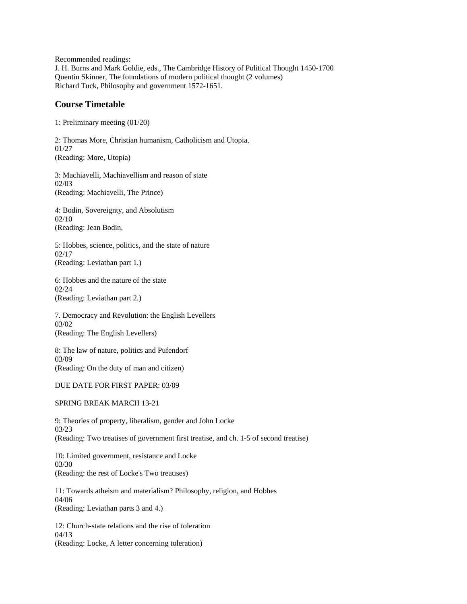Recommended readings: J. H. Burns and Mark Goldie, eds., The Cambridge History of Political Thought 1450-1700 Quentin Skinner, The foundations of modern political thought (2 volumes) Richard Tuck, Philosophy and government 1572-1651.

## **Course Timetable**

1: Preliminary meeting (01/20)

2: Thomas More, Christian humanism, Catholicism and Utopia. 01/27 (Reading: More, Utopia)

3: Machiavelli, Machiavellism and reason of state 02/03 (Reading: Machiavelli, The Prince)

4: Bodin, Sovereignty, and Absolutism 02/10 (Reading: Jean Bodin,

5: Hobbes, science, politics, and the state of nature 02/17 (Reading: Leviathan part 1.)

6: Hobbes and the nature of the state 02/24 (Reading: Leviathan part 2.)

7. Democracy and Revolution: the English Levellers 03/02 (Reading: The English Levellers)

8: The law of nature, politics and Pufendorf 03/09 (Reading: On the duty of man and citizen)

DUE DATE FOR FIRST PAPER: 03/09

SPRING BREAK MARCH 13-21

9: Theories of property, liberalism, gender and John Locke 03/23 (Reading: Two treatises of government first treatise, and ch. 1-5 of second treatise)

10: Limited government, resistance and Locke 03/30 (Reading: the rest of Locke's Two treatises)

11: Towards atheism and materialism? Philosophy, religion, and Hobbes 04/06 (Reading: Leviathan parts 3 and 4.)

12: Church-state relations and the rise of toleration 04/13 (Reading: Locke, A letter concerning toleration)